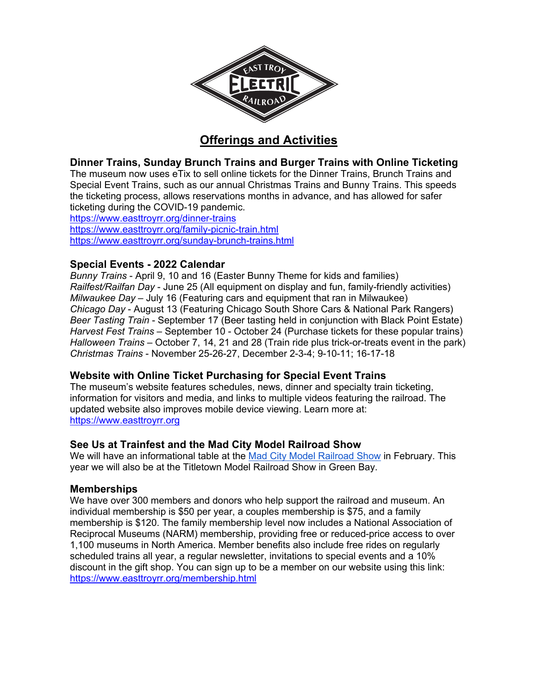

# **Offerings and Activities**

**Dinner Trains, Sunday Brunch Trains and Burger Trains with Online Ticketing**

The museum now uses eTix to sell online tickets for the Dinner Trains, Brunch Trains and Special Event Trains, such as our annual Christmas Trains and Bunny Trains. This speeds the ticketing process, allows reservations months in advance, and has allowed for safer ticketing during the COVID-19 pandemic.

https://www.easttroyrr.org/dinner-trains https://www.easttroyrr.org/family-picnic-train.html https://www.easttroyrr.org/sunday-brunch-trains.html

# **Special Events - 2022 Calendar**

*Bunny Trains* - April 9, 10 and 16 (Easter Bunny Theme for kids and families) *Railfest/Railfan Day* - June 25 (All equipment on display and fun, family-friendly activities) *Milwaukee Day* – July 16 (Featuring cars and equipment that ran in Milwaukee) *Chicago Day* - August 13 (Featuring Chicago South Shore Cars & National Park Rangers) *Beer Tasting Train* - September 17 (Beer tasting held in conjunction with Black Point Estate) *Harvest Fest Trains* – September 10 - October 24 (Purchase tickets for these popular trains) *Halloween Trains* – October 7, 14, 21 and 28 (Train ride plus trick-or-treats event in the park) *Christmas Trains* - November 25-26-27, December 2-3-4; 9-10-11; 16-17-18

# **Website with Online Ticket Purchasing for Special Event Trains**

The museum's website features schedules, news, dinner and specialty train ticketing, information for visitors and media, and links to multiple videos featuring the railroad. The updated website also improves mobile device viewing. Learn more at: https://www.easttroyrr.org

# **See Us at Trainfest and the Mad City Model Railroad Show**

We will have an informational table at the Mad City Model Railroad Show in February. This year we will also be at the Titletown Model Railroad Show in Green Bay.

# **Memberships**

We have over 300 members and donors who help support the railroad and museum. An individual membership is \$50 per year, a couples membership is \$75, and a family membership is \$120. The family membership level now includes a National Association of Reciprocal Museums (NARM) membership, providing free or reduced-price access to over 1,100 museums in North America. Member benefits also include free rides on regularly scheduled trains all year, a regular newsletter, invitations to special events and a 10% discount in the gift shop. You can sign up to be a member on our website using this link: https://www.easttroyrr.org/membership.html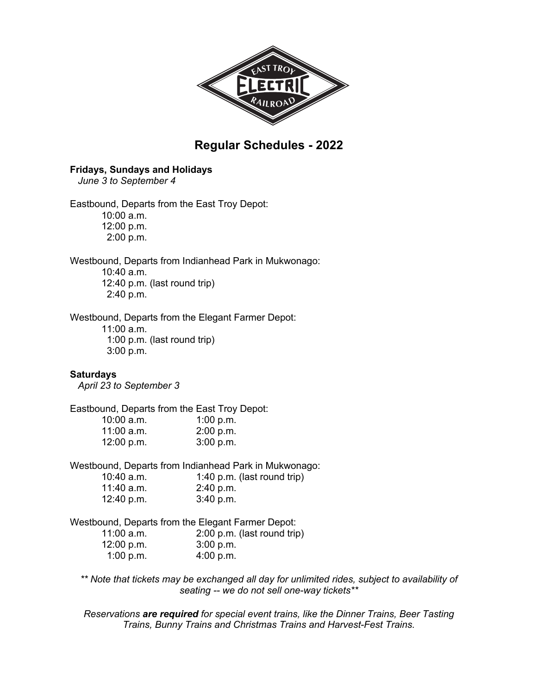

# **Regular Schedules - 2022**

#### **Fridays, Sundays and Holidays**

 *June 3 to September 4*

Eastbound, Departs from the East Troy Depot:

10:00 a.m. 12:00 p.m. 2:00 p.m.

Westbound, Departs from Indianhead Park in Mukwonago:

10:40 a.m. 12:40 p.m. (last round trip) 2:40 p.m.

Westbound, Departs from the Elegant Farmer Depot:

11:00 a.m. 1:00 p.m. (last round trip) 3:00 p.m.

#### **Saturdays**

*April 23 to September 3*

Eastbound, Departs from the East Troy Depot:

| $10:00$ a.m. | 1:00 $p.m.$ |
|--------------|-------------|
| $11:00$ a.m. | 2:00 p.m.   |
| 12:00 p.m.   | 3:00 p.m.   |

Westbound, Departs from Indianhead Park in Mukwonago:

| 10:40 a.m. | 1:40 p.m. (last round trip) |
|------------|-----------------------------|
| 11:40 a.m. | 2:40 p.m.                   |
| 12:40 p.m. | 3:40 p.m.                   |

Westbound, Departs from the Elegant Farmer Depot:

| $11:00$ a.m. | 2:00 p.m. (last round trip) |
|--------------|-----------------------------|
| 12:00 p.m.   | 3:00 p.m.                   |
| 1:00 p.m.    | 4:00 p.m.                   |

*\*\* Note that tickets may be exchanged all day for unlimited rides, subject to availability of seating -- we do not sell one-way tickets\*\**

*Reservations are required for special event trains, like the Dinner Trains, Beer Tasting Trains, Bunny Trains and Christmas Trains and Harvest-Fest Trains.*